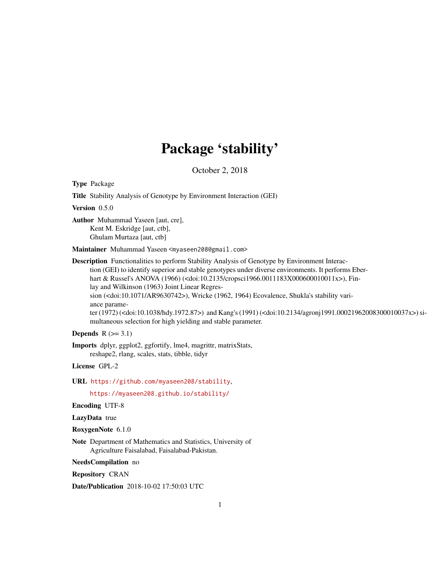# Package 'stability'

October 2, 2018

Type Package

Title Stability Analysis of Genotype by Environment Interaction (GEI)

Version 0.5.0

Author Muhammad Yaseen [aut, cre], Kent M. Eskridge [aut, ctb], Ghulam Murtaza [aut, ctb]

Maintainer Muhammad Yaseen <myaseen208@gmail.com>

Description Functionalities to perform Stability Analysis of Genotype by Environment Interaction (GEI) to identify superior and stable genotypes under diverse environments. It performs Eberhart & Russel's ANOVA (1966) (<doi:10.2135/cropsci1966.0011183X000600010011x>), Finlay and Wilkinson (1963) Joint Linear Regres-

sion (<doi:10.1071/AR9630742>), Wricke (1962, 1964) Ecovalence, Shukla's stability variance parame-

ter (1972) (<doi:10.1038/hdy.1972.87>) and Kang's (1991) (<doi:10.2134/agronj1991.00021962008300010037x>) simultaneous selection for high yielding and stable parameter.

#### Depends  $R$  ( $>= 3.1$ )

Imports dplyr, ggplot2, ggfortify, lme4, magrittr, matrixStats, reshape2, rlang, scales, stats, tibble, tidyr

License GPL-2

URL <https://github.com/myaseen208/stability>,

<https://myaseen208.github.io/stability/>

Encoding UTF-8

LazyData true

RoxygenNote 6.1.0

Note Department of Mathematics and Statistics, University of Agriculture Faisalabad, Faisalabad-Pakistan.

NeedsCompilation no

Repository CRAN

Date/Publication 2018-10-02 17:50:03 UTC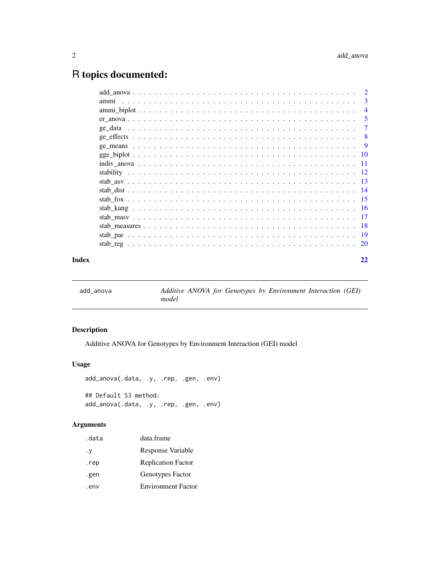## <span id="page-1-0"></span>R topics documented:

|                  | $\overline{2}$ |
|------------------|----------------|
| amm <sub>1</sub> | -3             |
|                  | $\overline{4}$ |
|                  | -5             |
|                  | 7              |
|                  | -8             |
|                  | -9             |
|                  |                |
|                  |                |
|                  |                |
|                  |                |
|                  |                |
|                  |                |
|                  |                |
|                  |                |
|                  |                |
|                  |                |
|                  |                |
| Index            | 22             |

add\_anova *Additive ANOVA for Genotypes by Environment Interaction (GEI) model*

#### Description

Additive ANOVA for Genotypes by Environment Interaction (GEI) model

#### Usage

```
add_anova(.data, .y, .rep, .gen, .env)
## Default S3 method:
add_anova(.data, .y, .rep, .gen, .env)
```
#### Arguments

| .data | data.frame                |
|-------|---------------------------|
| . у   | Response Variable         |
| .rep  | <b>Replication Factor</b> |
| .gen  | Genotypes Factor          |
| .env  | <b>Environment Factor</b> |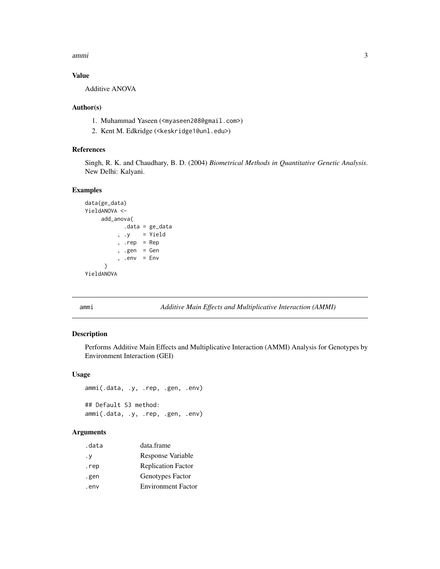<span id="page-2-0"></span>ammi 3

#### Value

Additive ANOVA

#### Author(s)

- 1. Muhammad Yaseen (<myaseen208@gmail.com>)
- 2. Kent M. Edkridge (<keskridge1@unl.edu>)

#### References

Singh, R. K. and Chaudhary, B. D. (2004) *Biometrical Methods in Quantitative Genetic Analysis*. New Delhi: Kalyani.

#### Examples

```
data(ge_data)
YieldANOVA <-
    add_anova(
           .data = ge_data
         , .y = Yield
         , rep = Rep, .gen = Gen
         , .env = Env)
YieldANOVA
```
ammi *Additive Main Effects and Multiplicative Interaction (AMMI)*

#### Description

Performs Additive Main Effects and Multiplicative Interaction (AMMI) Analysis for Genotypes by Environment Interaction (GEI)

#### Usage

```
ammi(.data, .y, .rep, .gen, .env)
## Default S3 method:
ammi(.data, .y, .rep, .gen, .env)
```
#### Arguments

| .data | data.frame                |
|-------|---------------------------|
| . v   | Response Variable         |
| .rep  | <b>Replication Factor</b> |
| .gen  | Genotypes Factor          |
| . env | <b>Environment Factor</b> |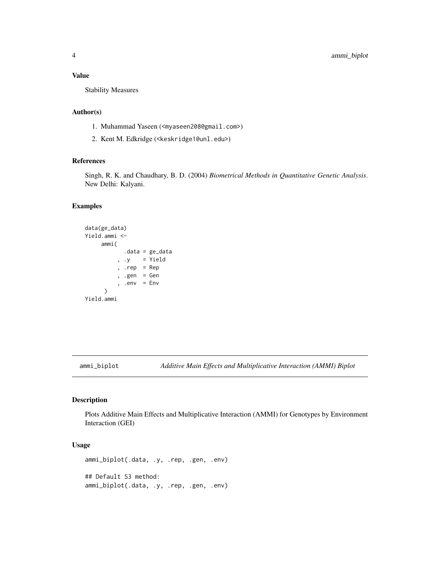#### <span id="page-3-0"></span>Value

Stability Measures

#### Author(s)

- 1. Muhammad Yaseen (<myaseen208@gmail.com>)
- 2. Kent M. Edkridge (<keskridge1@unl.edu>)

#### References

Singh, R. K. and Chaudhary, B. D. (2004) *Biometrical Methods in Quantitative Genetic Analysis*. New Delhi: Kalyani.

#### Examples

```
data(ge_data)
Yield.ammi <-
    ammi(
           .data = ge_data
          , .y = Yield
          , .rep = Rep
          , .gen = Gen
          , .env = Env)
Yield.ammi
```
ammi\_biplot *Additive Main Effects and Multiplicative Interaction (AMMI) Biplot*

#### Description

Plots Additive Main Effects and Multiplicative Interaction (AMMI) for Genotypes by Environment Interaction (GEI)

#### Usage

```
ammi_biplot(.data, .y, .rep, .gen, .env)
## Default S3 method:
ammi_biplot(.data, .y, .rep, .gen, .env)
```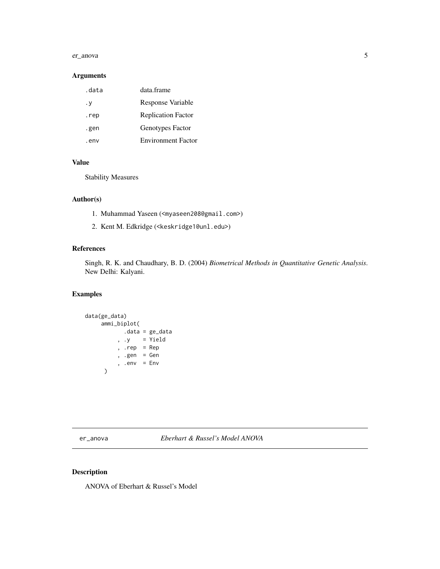#### <span id="page-4-0"></span>er\_anova 5

#### Arguments

| data  | data frame                |
|-------|---------------------------|
| . у   | Response Variable         |
| .rep  | <b>Replication Factor</b> |
| .gen  | Genotypes Factor          |
| . env | <b>Environment Factor</b> |
|       |                           |

### Value

Stability Measures

#### Author(s)

- 1. Muhammad Yaseen (<myaseen208@gmail.com>)
- 2. Kent M. Edkridge (<keskridge1@unl.edu>)

#### References

Singh, R. K. and Chaudhary, B. D. (2004) *Biometrical Methods in Quantitative Genetic Analysis*. New Delhi: Kalyani.

#### Examples

```
data(ge_data)
     ammi_biplot(
            .data = ge_data
          , .y = Yield
          , .rep = Rep
          , .gen = Gen
          , .env = Env\mathcal{L}
```
er\_anova *Eberhart & Russel's Model ANOVA*

#### Description

ANOVA of Eberhart & Russel's Model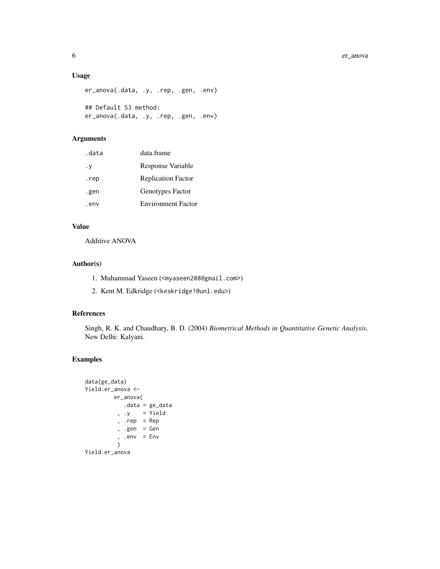#### Usage

```
er_anova(.data, .y, .rep, .gen, .env)
## Default S3 method:
er_anova(.data, .y, .rep, .gen, .env)
```
#### Arguments

| .data | data frame                |
|-------|---------------------------|
| . у   | Response Variable         |
| .rep  | <b>Replication Factor</b> |
| .gen  | Genotypes Factor          |
| . env | <b>Environment Factor</b> |

#### Value

Additive ANOVA

#### Author(s)

- 1. Muhammad Yaseen (<myaseen208@gmail.com>)
- 2. Kent M. Edkridge (<keskridge1@unl.edu>)

#### References

Singh, R. K. and Chaudhary, B. D. (2004) *Biometrical Methods in Quantitative Genetic Analysis*. New Delhi: Kalyani.

#### Examples

```
data(ge_data)
Yield.er_anova <-
        er_anova(
           .data = ge_data
         , .y = Yield
         , .rep = Rep
         , .gen = Gen
         , .env = Env)
Yield.er_anova
```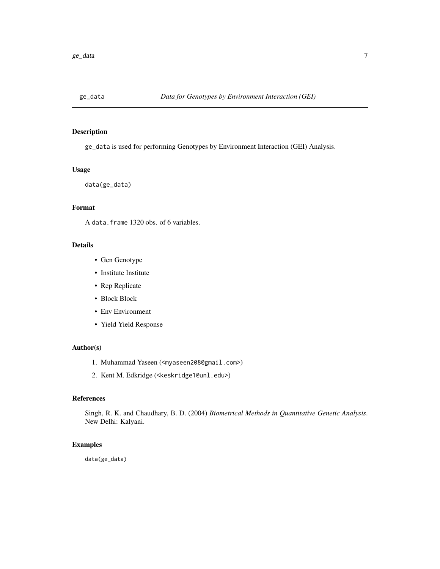<span id="page-6-0"></span>

#### Description

ge\_data is used for performing Genotypes by Environment Interaction (GEI) Analysis.

#### Usage

data(ge\_data)

#### Format

A data.frame 1320 obs. of 6 variables.

#### Details

- Gen Genotype
- Institute Institute
- Rep Replicate
- Block Block
- Env Environment
- Yield Yield Response

#### Author(s)

- 1. Muhammad Yaseen (<myaseen208@gmail.com>)
- 2. Kent M. Edkridge (<keskridge1@unl.edu>)

#### References

Singh, R. K. and Chaudhary, B. D. (2004) *Biometrical Methods in Quantitative Genetic Analysis*. New Delhi: Kalyani.

#### Examples

data(ge\_data)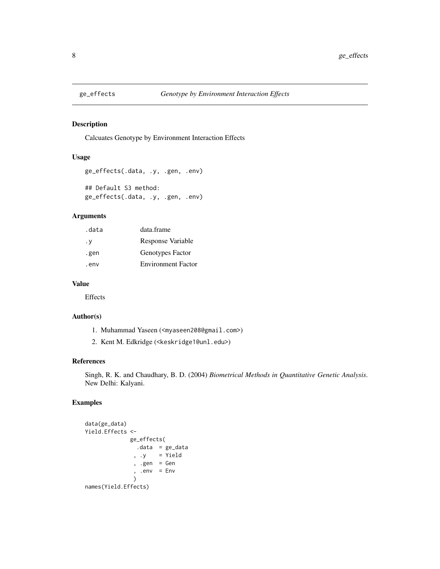<span id="page-7-0"></span>

#### Description

Calcuates Genotype by Environment Interaction Effects

#### Usage

```
ge_effects(.data, .y, .gen, .env)
## Default S3 method:
ge_effects(.data, .y, .gen, .env)
```
#### Arguments

| .data | data.frame                |
|-------|---------------------------|
| . у   | Response Variable         |
| .gen  | Genotypes Factor          |
| . env | <b>Environment Factor</b> |

#### Value

Effects

#### Author(s)

- 1. Muhammad Yaseen (<myaseen208@gmail.com>)
- 2. Kent M. Edkridge (<keskridge1@unl.edu>)

#### References

Singh, R. K. and Chaudhary, B. D. (2004) *Biometrical Methods in Quantitative Genetic Analysis*. New Delhi: Kalyani.

#### Examples

```
data(ge_data)
Yield.Effects <-
             ge_effects(
                .data = ge_data
               , .y = Yield
               , .gen = Gen
               , .env = Env
               \lambdanames(Yield.Effects)
```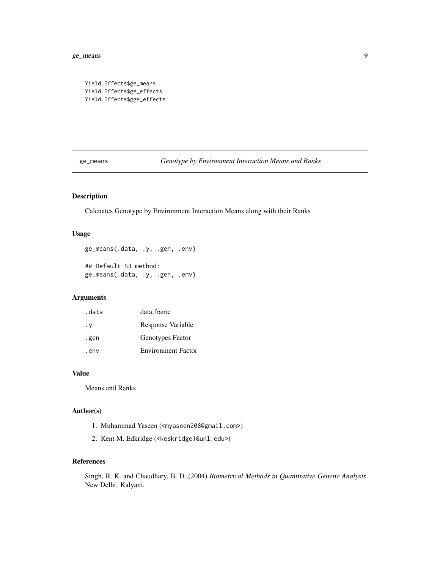```
Yield.Effects$ge_means
Yield.Effects$ge_effects
Yield.Effects$gge_effects
```
ge\_means *Genotype by Environment Interaction Means and Ranks*

#### Description

Calcuates Genotype by Environment Interaction Means along with their Ranks

#### Usage

ge\_means(.data, .y, .gen, .env) ## Default S3 method: ge\_means(.data, .y, .gen, .env)

#### Arguments

| .data | data.frame                |
|-------|---------------------------|
| . у   | Response Variable         |
| .gen  | Genotypes Factor          |
| . env | <b>Environment Factor</b> |

#### Value

Means and Ranks

#### Author(s)

- 1. Muhammad Yaseen (<myaseen208@gmail.com>)
- 2. Kent M. Edkridge (<keskridge1@unl.edu>)

#### References

Singh, R. K. and Chaudhary, B. D. (2004) *Biometrical Methods in Quantitative Genetic Analysis*. New Delhi: Kalyani.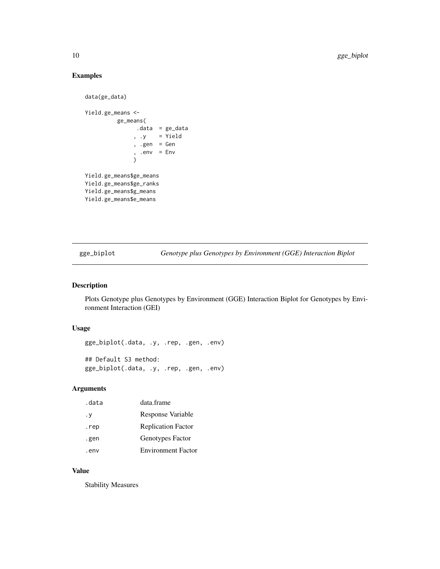#### Examples

```
data(ge_data)
Yield.ge_means <-
         ge_means(
               .data = ge_data
               , .y = Yield
               , .gen = Gen
               , .env = Env\lambdaYield.ge_means$ge_means
Yield.ge_means$ge_ranks
Yield.ge_means$g_means
Yield.ge_means$e_means
```
gge\_biplot *Genotype plus Genotypes by Environment (GGE) Interaction Biplot*

#### Description

Plots Genotype plus Genotypes by Environment (GGE) Interaction Biplot for Genotypes by Environment Interaction (GEI)

#### Usage

```
gge_biplot(.data, .y, .rep, .gen, .env)
## Default S3 method:
gge_biplot(.data, .y, .rep, .gen, .env)
```
#### Arguments

| .data | data.frame                |
|-------|---------------------------|
| . у   | Response Variable         |
| .rep  | <b>Replication Factor</b> |
| .gen  | Genotypes Factor          |
| . env | <b>Environment Factor</b> |

#### Value

Stability Measures

<span id="page-9-0"></span>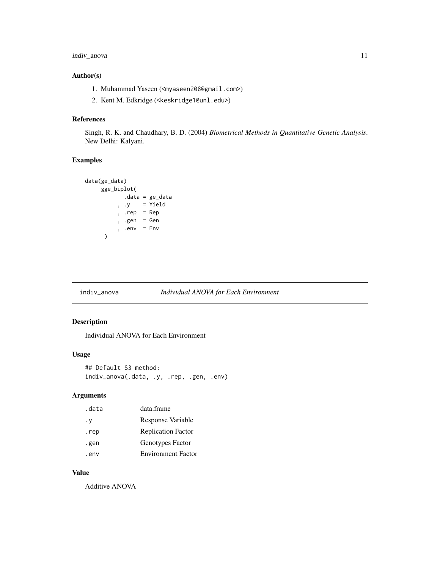#### <span id="page-10-0"></span>indiv\_anova 11

#### Author(s)

- 1. Muhammad Yaseen (<myaseen208@gmail.com>)
- 2. Kent M. Edkridge (<keskridge1@unl.edu>)

#### References

Singh, R. K. and Chaudhary, B. D. (2004) *Biometrical Methods in Quantitative Genetic Analysis*. New Delhi: Kalyani.

#### Examples

```
data(ge_data)
    gge_biplot(
            .data = ge_data
          , .y = Yield
          , .rep = Rep
          , .gen = Gen
          , .env = Env\mathcal{L}
```
#### indiv\_anova *Individual ANOVA for Each Environment*

#### Description

Individual ANOVA for Each Environment

#### Usage

```
## Default S3 method:
indiv_anova(.data, .y, .rep, .gen, .env)
```
#### Arguments

| .data | data.frame                |
|-------|---------------------------|
| . у   | Response Variable         |
| .rep  | <b>Replication Factor</b> |
| .gen  | Genotypes Factor          |
| . env | <b>Environment Factor</b> |

#### Value

Additive ANOVA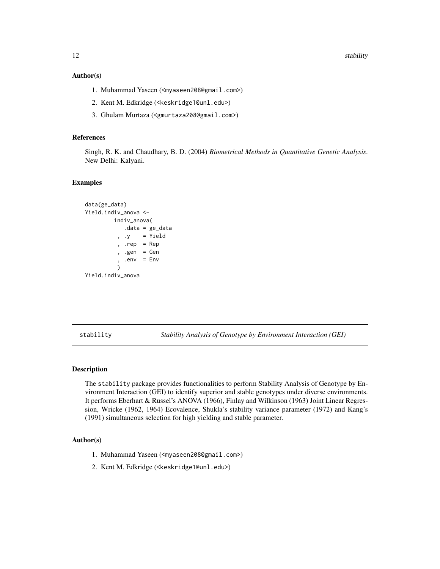<span id="page-11-0"></span>12 stability stability stability stability stability stability stability stability

#### Author(s)

- 1. Muhammad Yaseen (<myaseen208@gmail.com>)
- 2. Kent M. Edkridge (<keskridge1@unl.edu>)
- 3. Ghulam Murtaza (<gmurtaza208@gmail.com>)

#### References

Singh, R. K. and Chaudhary, B. D. (2004) *Biometrical Methods in Quantitative Genetic Analysis*. New Delhi: Kalyani.

#### Examples

```
data(ge_data)
Yield.indiv_anova <-
        indiv_anova(
           .data = ge_data
          , .y = Yield
          , .rep = Rep
          , .gen = Gen. env = Env\lambdaYield.indiv_anova
```
stability *Stability Analysis of Genotype by Environment Interaction (GEI)*

#### Description

The stability package provides functionalities to perform Stability Analysis of Genotype by Environment Interaction (GEI) to identify superior and stable genotypes under diverse environments. It performs Eberhart & Russel's ANOVA (1966), Finlay and Wilkinson (1963) Joint Linear Regression, Wricke (1962, 1964) Ecovalence, Shukla's stability variance parameter (1972) and Kang's (1991) simultaneous selection for high yielding and stable parameter.

#### Author(s)

- 1. Muhammad Yaseen (<myaseen208@gmail.com>)
- 2. Kent M. Edkridge (<keskridge1@unl.edu>)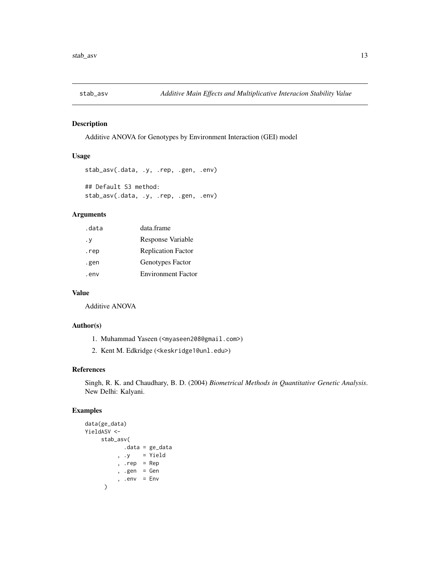<span id="page-12-0"></span>

#### Description

Additive ANOVA for Genotypes by Environment Interaction (GEI) model

#### Usage

```
stab_asv(.data, .y, .rep, .gen, .env)
## Default S3 method:
stab_asv(.data, .y, .rep, .gen, .env)
```
#### Arguments

| .data | data.frame                |
|-------|---------------------------|
| . у   | Response Variable         |
| .rep  | <b>Replication Factor</b> |
| .gen  | Genotypes Factor          |
| .env  | <b>Environment Factor</b> |

### Value

Additive ANOVA

#### Author(s)

- 1. Muhammad Yaseen (<myaseen208@gmail.com>)
- 2. Kent M. Edkridge (<keskridge1@unl.edu>)

#### References

Singh, R. K. and Chaudhary, B. D. (2004) *Biometrical Methods in Quantitative Genetic Analysis*. New Delhi: Kalyani.

#### Examples

```
data(ge_data)
YieldASV <-
     stab_asv(
            .data = ge_data
          , .y = Yield
          , .rep = Rep
          , .gen = Gen
          , .env = Env\mathcal{L}
```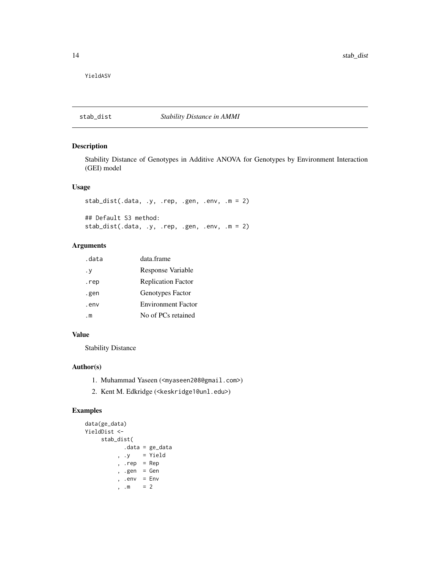<span id="page-13-0"></span>YieldASV

#### stab\_dist *Stability Distance in AMMI*

#### Description

Stability Distance of Genotypes in Additive ANOVA for Genotypes by Environment Interaction (GEI) model

#### Usage

```
stab_dist(.data, .y, .rep, .gen, .env, .m = 2)
## Default S3 method:
stab_dist(.data, .y, .rep, .gen, .env, .m = 2)
```
#### Arguments

| .data | data.frame                |
|-------|---------------------------|
| . у   | Response Variable         |
| .rep  | <b>Replication Factor</b> |
| .gen  | Genotypes Factor          |
| . env | <b>Environment Factor</b> |
| . m   | No of PCs retained        |

#### Value

Stability Distance

#### Author(s)

- 1. Muhammad Yaseen (<myaseen208@gmail.com>)
- 2. Kent M. Edkridge (<keskridge1@unl.edu>)

#### Examples

```
data(ge_data)
YieldDist <-
    stab_dist(
          .data = ge_data
         , .y = Yield
         , .rep = Rep
         , .gen = Gen
         , .env = Env, .m = 2
```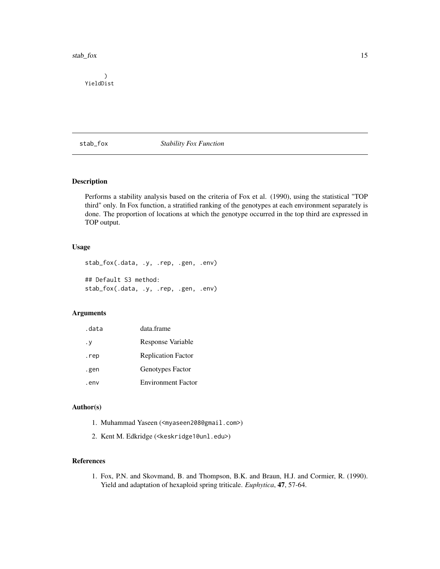<span id="page-14-0"></span>stab\_fox 15

) YieldDist

stab\_fox *Stability Fox Function*

#### Description

Performs a stability analysis based on the criteria of Fox et al. (1990), using the statistical "TOP third" only. In Fox function, a stratified ranking of the genotypes at each environment separately is done. The proportion of locations at which the genotype occurred in the top third are expressed in TOP output.

#### Usage

```
stab_fox(.data, .y, .rep, .gen, .env)
## Default S3 method:
stab_fox(.data, .y, .rep, .gen, .env)
```
#### Arguments

| .data     | data frame                |
|-----------|---------------------------|
| $\cdot$ Y | Response Variable         |
| .rep      | <b>Replication Factor</b> |
| .gen      | Genotypes Factor          |
| .env      | <b>Environment Factor</b> |

#### Author(s)

- 1. Muhammad Yaseen (<myaseen208@gmail.com>)
- 2. Kent M. Edkridge (<keskridge1@unl.edu>)

#### References

1. Fox, P.N. and Skovmand, B. and Thompson, B.K. and Braun, H.J. and Cormier, R. (1990). Yield and adaptation of hexaploid spring triticale. *Euphytica*, 47, 57-64.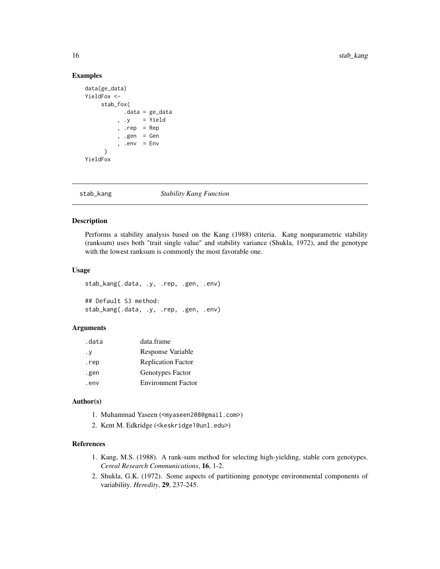#### Examples

```
data(ge_data)
YieldFox <-
    stab_fox(
           .data = ge_data
         , .y = Yield
         , rep = Rep, .gen = Gen
         , .env = Env)
YieldFox
```
stab\_kang *Stability Kang Function*

#### Description

Performs a stability analysis based on the Kang (1988) criteria. Kang nonparametric stability (ranksum) uses both "trait single value" and stability variance (Shukla, 1972), and the genotype with the lowest ranksum is commonly the most favorable one.

#### Usage

```
stab_kang(.data, .y, .rep, .gen, .env)
## Default S3 method:
stab_kang(.data, .y, .rep, .gen, .env)
```
#### Arguments

| .data | data.frame                |
|-------|---------------------------|
| . у   | Response Variable         |
| .rep  | <b>Replication Factor</b> |
| .gen  | Genotypes Factor          |
| .env  | <b>Environment Factor</b> |

#### Author(s)

- 1. Muhammad Yaseen (<myaseen208@gmail.com>)
- 2. Kent M. Edkridge (<keskridge1@unl.edu>)

#### References

- 1. Kang, M.S. (1988). A rank-sum method for selecting high-yielding, stable corn genotypes. *Cereal Research Communications*, 16, 1-2.
- 2. Shukla, G.K. (1972). Some aspects of partitioning genotype environmental components of variability. *Heredity*, 29, 237-245.

<span id="page-15-0"></span>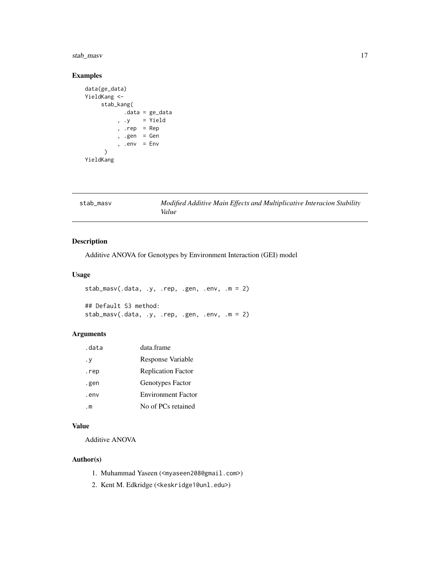#### <span id="page-16-0"></span>stab\_masv 17

#### Examples

```
data(ge_data)
YieldKang <-
    stab_kang(
           .data = ge_data
          , .y = Yield, rep = Rep, .gen = Gen, .env = Env\lambdaYieldKang
```
stab\_masv *Modified Additive Main Effects and Multiplicative Interacion Stability Value*

#### Description

Additive ANOVA for Genotypes by Environment Interaction (GEI) model

#### Usage

```
stab_masv(.data, .y, .rep, .gen, .env, .m = 2)
## Default S3 method:
stab_masv(.data, .y, .rep, .gen, .env, .m = 2)
```
#### Arguments

| .data | data frame                |
|-------|---------------------------|
| . у   | Response Variable         |
| .rep  | <b>Replication Factor</b> |
| .gen  | Genotypes Factor          |
| .env  | <b>Environment Factor</b> |
| . m   | No of PCs retained        |

#### Value

Additive ANOVA

#### Author(s)

- 1. Muhammad Yaseen (<myaseen208@gmail.com>)
- 2. Kent M. Edkridge (<keskridge1@unl.edu>)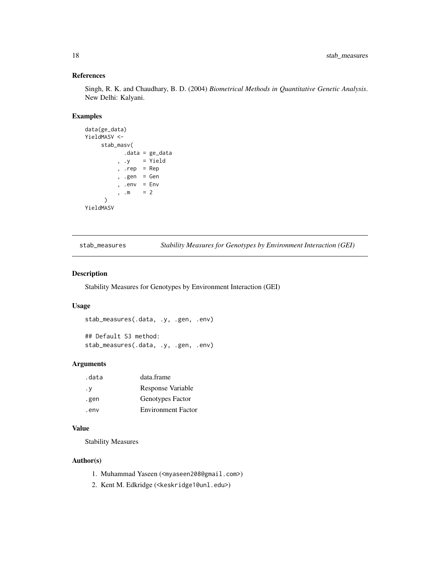#### <span id="page-17-0"></span>References

Singh, R. K. and Chaudhary, B. D. (2004) *Biometrical Methods in Quantitative Genetic Analysis*. New Delhi: Kalyani.

#### Examples

```
data(ge_data)
YieldMASV <-
    stab_masv(
           .data = ge_data
         , .y = Yield
         , .rep = Rep
         , .gen = Gen, .env = Env, .m = 2)
YieldMASV
```
stab\_measures *Stability Measures for Genotypes by Environment Interaction (GEI)*

#### Description

Stability Measures for Genotypes by Environment Interaction (GEI)

#### Usage

```
stab_measures(.data, .y, .gen, .env)
```
## Default S3 method: stab\_measures(.data, .y, .gen, .env)

#### Arguments

| .data | data.frame                |
|-------|---------------------------|
| . v   | Response Variable         |
| .gen  | Genotypes Factor          |
| . env | <b>Environment Factor</b> |

#### Value

Stability Measures

#### Author(s)

- 1. Muhammad Yaseen (<myaseen208@gmail.com>)
- 2. Kent M. Edkridge (<keskridge1@unl.edu>)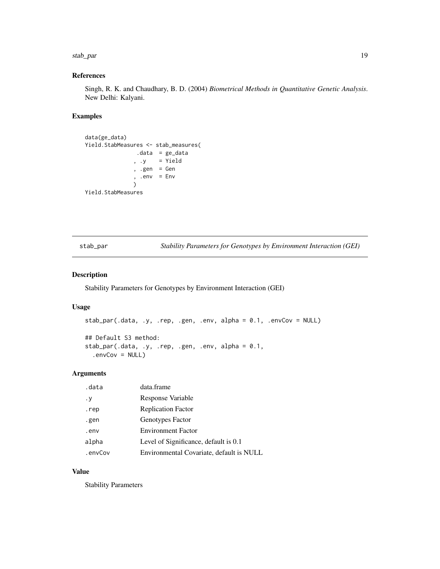#### <span id="page-18-0"></span>stab\_par 19

#### References

Singh, R. K. and Chaudhary, B. D. (2004) *Biometrical Methods in Quantitative Genetic Analysis*. New Delhi: Kalyani.

#### Examples

```
data(ge_data)
Yield.StabMeasures <- stab_measures(
              .data = ge_data
              , .y = Yield
              , .gen = Gen
              , .env = Env)
Yield.StabMeasures
```
stab\_par *Stability Parameters for Genotypes by Environment Interaction (GEI)*

#### Description

Stability Parameters for Genotypes by Environment Interaction (GEI)

#### Usage

```
stab_par(.data, .y, .rep, .gen, .env, alpha = 0.1, .envCov = NULL)
## Default S3 method:
stab_par(.data, .y, .rep, .gen, .env, alpha = 0.1,
  envCov = NULL
```
#### Arguments

| .data   | data.frame                               |
|---------|------------------------------------------|
| . у     | Response Variable                        |
| .rep    | <b>Replication Factor</b>                |
| .gen    | Genotypes Factor                         |
| .env    | <b>Environment Factor</b>                |
| alpha   | Level of Significance, default is 0.1    |
| .envCov | Environmental Covariate, default is NULL |

#### Value

Stability Parameters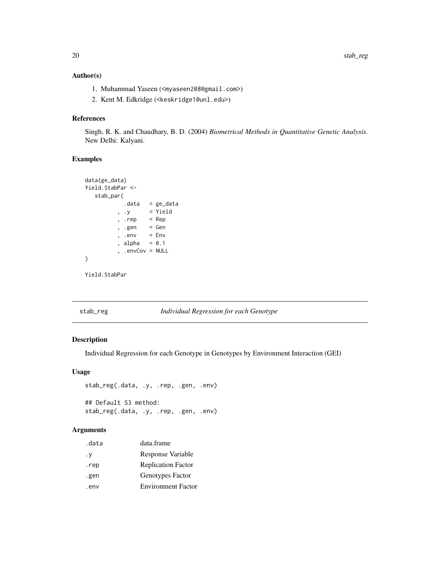#### <span id="page-19-0"></span>Author(s)

- 1. Muhammad Yaseen (<myaseen208@gmail.com>)
- 2. Kent M. Edkridge (<keskridge1@unl.edu>)

#### References

Singh, R. K. and Chaudhary, B. D. (2004) *Biometrical Methods in Quantitative Genetic Analysis*. New Delhi: Kalyani.

#### Examples

```
data(ge_data)
Yield.StabPar <-
  stab_par(
          .data = ge_data
         , .y = Yield, .rep = Rep
         , .gen = Gen
         , .env = Env, alpha = 0.1, .envCov = NULL
)
```
Yield.StabPar

#### stab\_reg *Individual Regression for each Genotype*

#### Description

Individual Regression for each Genotype in Genotypes by Environment Interaction (GEI)

#### Usage

```
stab_reg(.data, .y, .rep, .gen, .env)
## Default S3 method:
```
stab\_reg(.data, .y, .rep, .gen, .env)

#### Arguments

| .data | data.frame                |
|-------|---------------------------|
| . у   | Response Variable         |
| .rep  | <b>Replication Factor</b> |
| .gen  | Genotypes Factor          |
| . env | <b>Environment Factor</b> |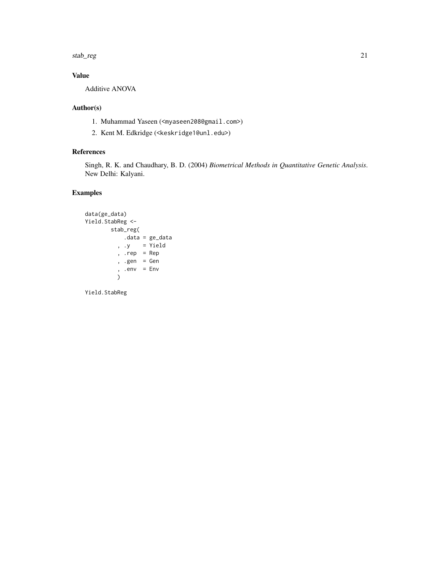stab\_reg 21

#### Value

Additive ANOVA

#### Author(s)

- 1. Muhammad Yaseen (<myaseen208@gmail.com>)
- 2. Kent M. Edkridge (<keskridge1@unl.edu>)

#### References

Singh, R. K. and Chaudhary, B. D. (2004) *Biometrical Methods in Quantitative Genetic Analysis*. New Delhi: Kalyani.

#### Examples

```
data(ge_data)
Yield.StabReg <-
       stab_reg(
          .data = ge_data
         , .y = Yield, .rep = Rep
         , .gen = Gen
         , .env = Env)
```
Yield.StabReg